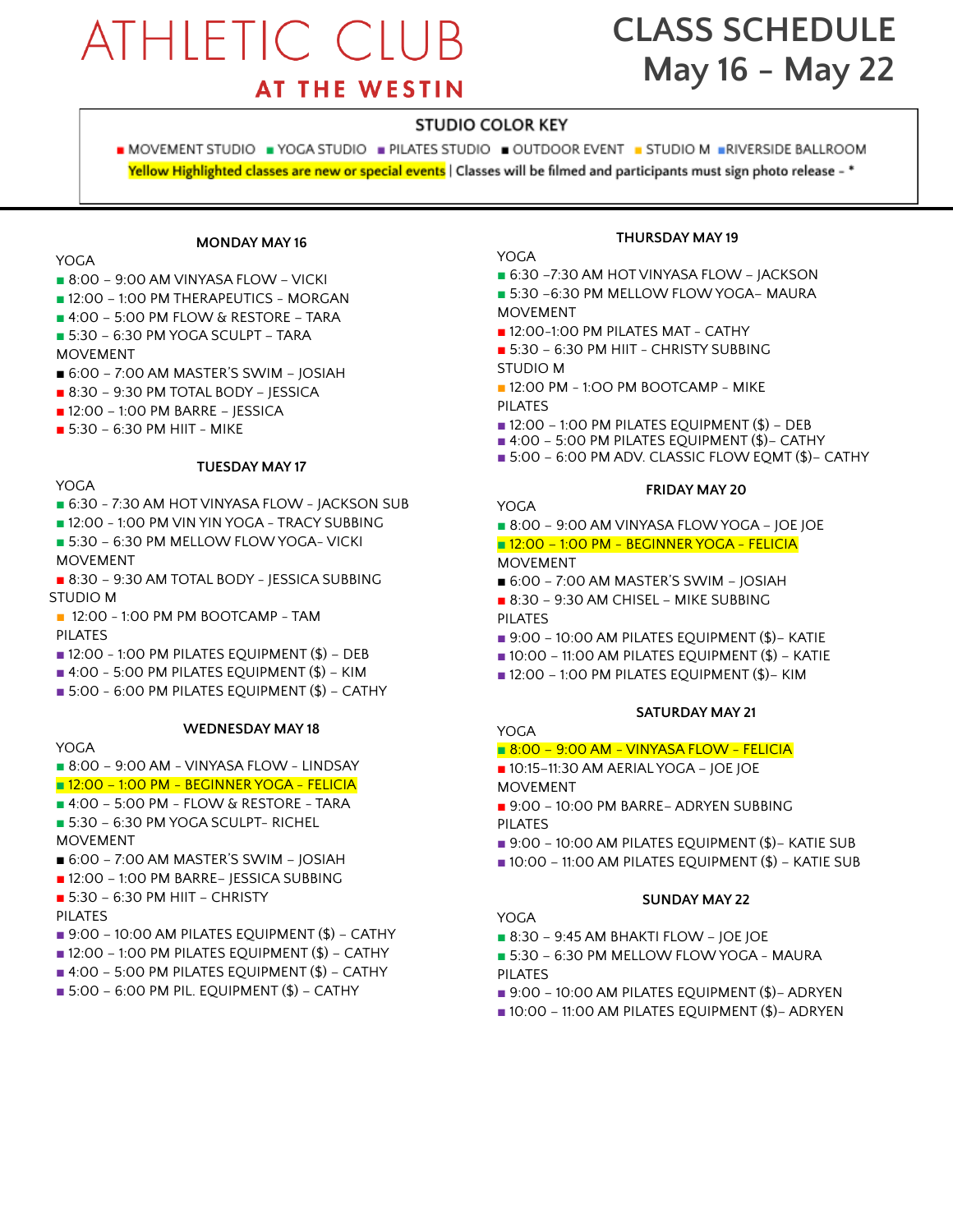# **ATHLETIC CLUB**

# **CLASS SCHEDULE May 16 - May 22**

## **AT THE WESTIN**

#### **STUDIO COLOR KEY**

■ MOVEMENT STUDIO ■ YOGA STUDIO ■ PILATES STUDIO ■ OUTDOOR EVENT ■ STUDIO M ■RIVERSIDE BALLROOM Yellow Highlighted classes are new or special events | Classes will be filmed and participants must sign photo release - \*

#### **MONDAY MAY 16**

YOGA

- 8:00 9:00 AM VINYASA FLOW VICKI
- 12:00 1:00 PM THERAPEUTICS MORGAN
- 4:00 5:00 PM FLOW & RESTORE TARA
- 5:30 6:30 PM YOGA SCULPT TARA
- MOVEMENT
- 6:00 7:00 AM MASTER'S SWIM JOSIAH
- 8:30 9:30 PM TOTAL BODY JESSICA
- 12:00 1:00 PM BARRE JESSICA
- 5:30 6:30 PM HIIT MIKE

#### **TUESDAY MAY 17**

#### YOGA

- 6:30 7:30 AM HOT VINYASA FLOW JACKSON SUB
- 12:00 1:00 PM VIN YIN YOGA TRACY SUBBING
- 5:30 6:30 PM MELLOW FLOW YOGA- VICKI
- MOVEMENT
- 8:30 9:30 AM TOTAL BODY JESSICA SUBBING STUDIO M
- 12:00 1:00 PM PM BOOTCAMP TAM PILATES
- $\blacksquare$  12:00 1:00 PM PILATES EQUIPMENT (\$) DEB
- $\blacksquare$  4:00 5:00 PM PILATES EQUIPMENT  $(\$)$  KIM
- 5:00 6:00 PM PILATES EQUIPMENT (\$) CATHY

**WEDNESDAY MAY 18**

#### YOGA

- 8:00 9:00 AM VINYASA FLOW LINDSAY
- 12:00 1:00 PM BEGINNER YOGA FELICIA
- 4:00 5:00 PM FLOW & RESTORE TARA
- 5:30 6:30 PM YOGA SCULPT- RICHEL MOVEMENT
- 6:00 7:00 AM MASTER'S SWIM JOSIAH
- 12:00 1:00 PM BARRE– JESSICA SUBBING
- 5:30 6:30 PM HIIT CHRISTY
- PILATES
- $\blacksquare$  9:00 10:00 AM PILATES EQUIPMENT (\$) CATHY
- $\blacksquare$  12:00 1:00 PM PILATES EQUIPMENT (\$) CATHY
- $\blacksquare$  4:00 5:00 PM PILATES EQUIPMENT (\$) CATHY
- $\blacksquare$  5:00 6:00 PM PIL. EQUIPMENT (\$) CATHY

#### **THURSDAY MAY 19**

#### YOGA.

- 6:30 -7:30 AM HOT VINYASA FLOW JACKSON
- 5:30 –6:30 PM MELLOW FLOWYOGA– MAURA MOVEMENT
- 12:00-1:00 PM PILATES MAT CATHY
- 5:30 6:30 PM HIIT CHRISTY SUBBING STUDIO M
- $\blacksquare$  12:00 PM 1:00 PM BOOTCAMP MIKE PILATES
- $\blacksquare$  12:00 1:00 PM PILATES EQUIPMENT (\$) DEB
- 4:00 5:00 PM PILATES EQUIPMENT (\$)– CATHY
- 5:00 6:00 PM ADV. CLASSIC FLOW EOMT (\$)– CATHY

#### **FRIDAY MAY 20**

YOGA

■ 8:00 – 9:00 AM VINYASA FLOW YOGA – JOE JOE

■ 12:00 – 1:00 PM - BEGINNER YOGA - FELICIA

#### MOVEMENT

- 6:00 7:00 AM MASTER'S SWIM JOSIAH
- **■** 8:30 9:30 AM CHISEL MIKE SUBBING PILATES
- 9:00 10:00 AM PILATES EQUIPMENT (\$)- KATIE
- $\blacksquare$  10:00 11:00 AM PILATES EQUIPMENT (\$) KATIE
- 12:00 1:00 PM PILATES EQUIPMENT (\$)– KIM

#### **SATURDAY MAY 21**

#### YOGA

#### ■ 8:00 - 9:00 AM - VINYASA FLOW - FELICIA

- 10:15-11:30 AM AERIAL YOGA JOE JOE
- MOVEMENT
- 9:00 10:00 PM BARRE– ADRYEN SUBBING PILATES
- 9:00 10:00 AM PILATES EQUIPMENT (\$)- KATIE SUB
- $\blacksquare$  10:00 11:00 AM PILATES EQUIPMENT (\$) KATIE SUB

#### **SUNDAY MAY 22**

- YOGA. ■ 8:30 - 9:45 AM BHAKTI FLOW - IOE IOE
- 5:30 6:30 PM MELLOW FLOW YOGA MAURA PILATES
- 9:00 10:00 AM PILATES EQUIPMENT (\$)- ADRYEN
- 10:00 11:00 AM PILATES EQUIPMENT (\$)– ADRYEN